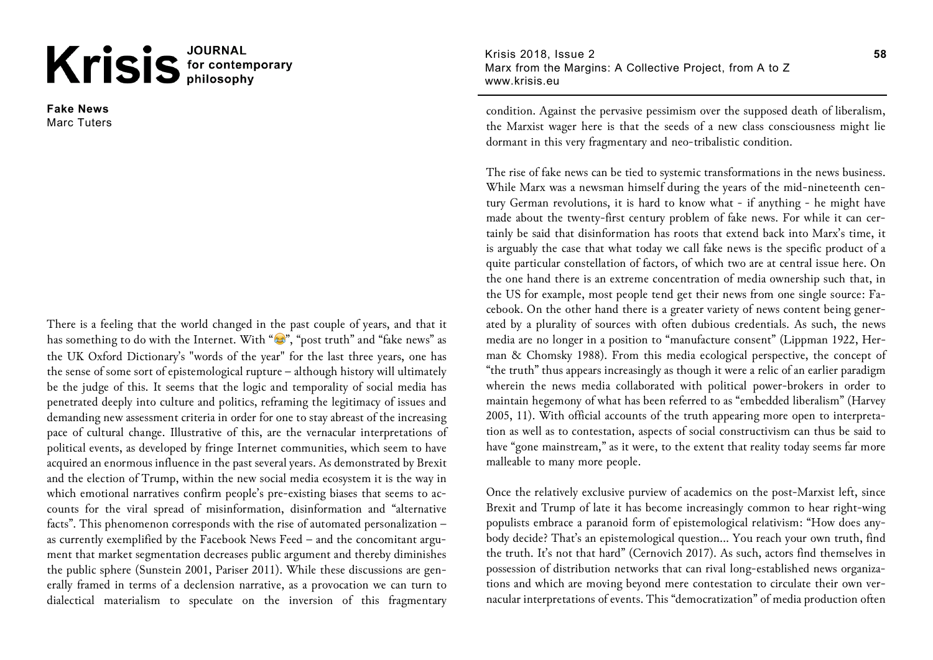## Krisis<sup>JOURNAL</sup>

**Fake News** Marc Tuters

There is a feeling that the world changed in the past couple of years, and that it has something to do with the Internet. With " $\mathcal{C}$ ", "post truth" and "fake news" as the UK Oxford Dictionary's "words of the year" for the last three years, one has the sense of some sort of epistemological rupture – although history will ultimately be the judge of this. It seems that the logic and temporality of social media has penetrated deeply into culture and politics, reframing the legitimacy of issues and demanding new assessment criteria in order for one to stay abreast of the increasing pace of cultural change. Illustrative of this, are the vernacular interpretations of political events, as developed by fringe Internet communities, which seem to have acquired an enormous influence in the past several years. As demonstrated by Brexit and the election of Trump, within the new social media ecosystem it is the way in which emotional narratives confirm people's pre-existing biases that seems to accounts for the viral spread of misinformation, disinformation and "alternative facts". This phenomenon corresponds with the rise of automated personalization – as currently exemplified by the Facebook News Feed – and the concomitant argument that market segmentation decreases public argument and thereby diminishes the public sphere (Sunstein 2001, Pariser 2011). While these discussions are generally framed in terms of a declension narrative, as a provocation we can turn to dialectical materialism to speculate on the inversion of this fragmentary

Krisis 2018, Issue 2 Marx from the Margins: A Collective Project, from A to Z www.krisis.eu

condition. Against the pervasive pessimism over the supposed death of liberalism, the Marxist wager here is that the seeds of a new class consciousness might lie dormant in this very fragmentary and neo-tribalistic condition.

The rise of fake news can be tied to systemic transformations in the news business. While Marx was a newsman himself during the years of the mid-nineteenth century German revolutions, it is hard to know what - if anything - he might have made about the twenty-first century problem of fake news. For while it can certainly be said that disinformation has roots that extend back into Marx's time, it is arguably the case that what today we call fake news is the specific product of a quite particular constellation of factors, of which two are at central issue here. On the one hand there is an extreme concentration of media ownership such that, in the US for example, most people tend get their news from one single source: Facebook. On the other hand there is a greater variety of news content being generated by a plurality of sources with often dubious credentials. As such, the news media are no longer in a position to "manufacture consent" (Lippman 1922, Herman & Chomsky 1988). From this media ecological perspective, the concept of "the truth" thus appears increasingly as though it were a relic of an earlier paradigm wherein the news media collaborated with political power-brokers in order to maintain hegemony of what has been referred to as "embedded liberalism" (Harvey 2005, 11). With official accounts of the truth appearing more open to interpretation as well as to contestation, aspects of social constructivism can thus be said to have "gone mainstream," as it were, to the extent that reality today seems far more malleable to many more people.

Once the relatively exclusive purview of academics on the post-Marxist left, since Brexit and Trump of late it has become increasingly common to hear right-wing populists embrace a paranoid form of epistemological relativism: "How does anybody decide? That's an epistemological question… You reach your own truth, find the truth. It's not that hard" (Cernovich 2017). As such, actors find themselves in possession of distribution networks that can rival long-established news organizations and which are moving beyond mere contestation to circulate their own vernacular interpretations of events. This "democratization" of media production often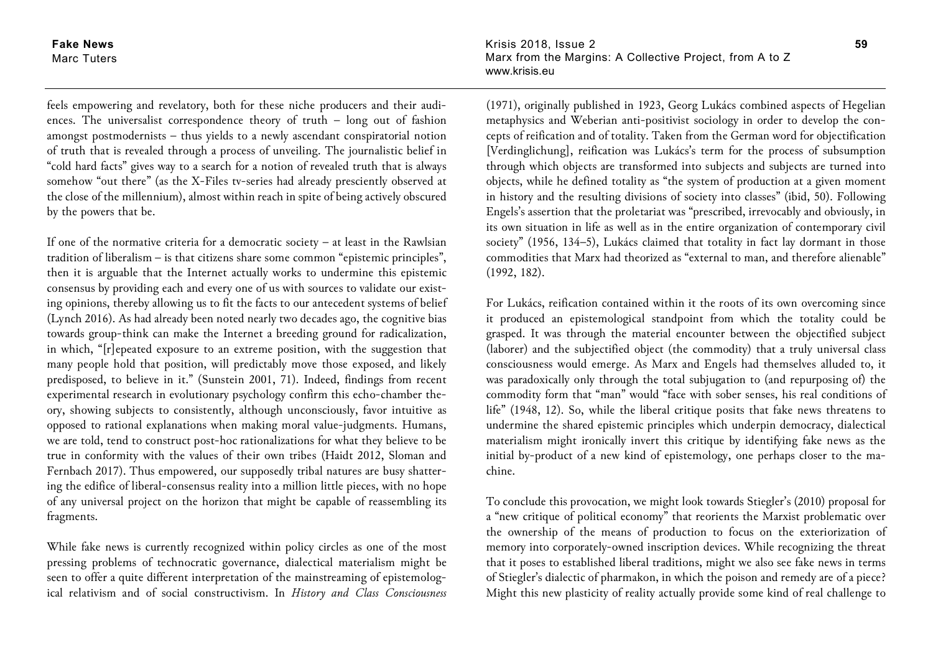**Fake News** Marc Tuters

feels empowering and revelatory, both for these niche producers and their audiences. The universalist correspondence theory of truth – long out of fashion amongst postmodernists – thus yields to a newly ascendant conspiratorial notion of truth that is revealed through a process of unveiling. The journalistic belief in "cold hard facts" gives way to a search for a notion of revealed truth that is always somehow "out there" (as the X-Files tv-series had already presciently observed at the close of the millennium), almost within reach in spite of being actively obscured by the powers that be.

If one of the normative criteria for a democratic society – at least in the Rawlsian tradition of liberalism – is that citizens share some common "epistemic principles", then it is arguable that the Internet actually works to undermine this epistemic consensus by providing each and every one of us with sources to validate our existing opinions, thereby allowing us to fit the facts to our antecedent systems of belief (Lynch 2016). As had already been noted nearly two decades ago, the cognitive bias towards group-think can make the Internet a breeding ground for radicalization, in which, "[r]epeated exposure to an extreme position, with the suggestion that many people hold that position, will predictably move those exposed, and likely predisposed, to believe in it." (Sunstein 2001, 71). Indeed, findings from recent experimental research in evolutionary psychology confirm this echo-chamber theory, showing subjects to consistently, although unconsciously, favor intuitive as opposed to rational explanations when making moral value-judgments. Humans, we are told, tend to construct post-hoc rationalizations for what they believe to be true in conformity with the values of their own tribes (Haidt 2012, Sloman and Fernbach 2017). Thus empowered, our supposedly tribal natures are busy shattering the edifice of liberal-consensus reality into a million little pieces, with no hope of any universal project on the horizon that might be capable of reassembling its fragments.

While fake news is currently recognized within policy circles as one of the most pressing problems of technocratic governance, dialectical materialism might be seen to offer a quite different interpretation of the mainstreaming of epistemological relativism and of social constructivism. In *History and Class Consciousness* Krisis 2018, Issue 2 Marx from the Margins: A Collective Project, from A to Z www.krisis.eu

(1971), originally published in 1923, Georg Lukács combined aspects of Hegelian metaphysics and Weberian anti-positivist sociology in order to develop the concepts of reification and of totality. Taken from the German word for objectification [Verdinglichung], reification was Lukács's term for the process of subsumption through which objects are transformed into subjects and subjects are turned into objects, while he defined totality as "the system of production at a given moment in history and the resulting divisions of society into classes" (ibid, 50). Following Engels's assertion that the proletariat was "prescribed, irrevocably and obviously, in its own situation in life as well as in the entire organization of contemporary civil society" (1956, 134–5), Lukács claimed that totality in fact lay dormant in those commodities that Marx had theorized as "external to man, and therefore alienable" (1992, 182).

For Lukács, reification contained within it the roots of its own overcoming since it produced an epistemological standpoint from which the totality could be grasped. It was through the material encounter between the objectified subject (laborer) and the subjectified object (the commodity) that a truly universal class consciousness would emerge. As Marx and Engels had themselves alluded to, it was paradoxically only through the total subjugation to (and repurposing of) the commodity form that "man" would "face with sober senses, his real conditions of life" (1948, 12). So, while the liberal critique posits that fake news threatens to undermine the shared epistemic principles which underpin democracy, dialectical materialism might ironically invert this critique by identifying fake news as the initial by-product of a new kind of epistemology, one perhaps closer to the machine.

To conclude this provocation, we might look towards Stiegler's (2010) proposal for a "new critique of political economy" that reorients the Marxist problematic over the ownership of the means of production to focus on the exteriorization of memory into corporately-owned inscription devices. While recognizing the threat that it poses to established liberal traditions, might we also see fake news in terms of Stiegler's dialectic of pharmakon, in which the poison and remedy are of a piece? Might this new plasticity of reality actually provide some kind of real challenge to